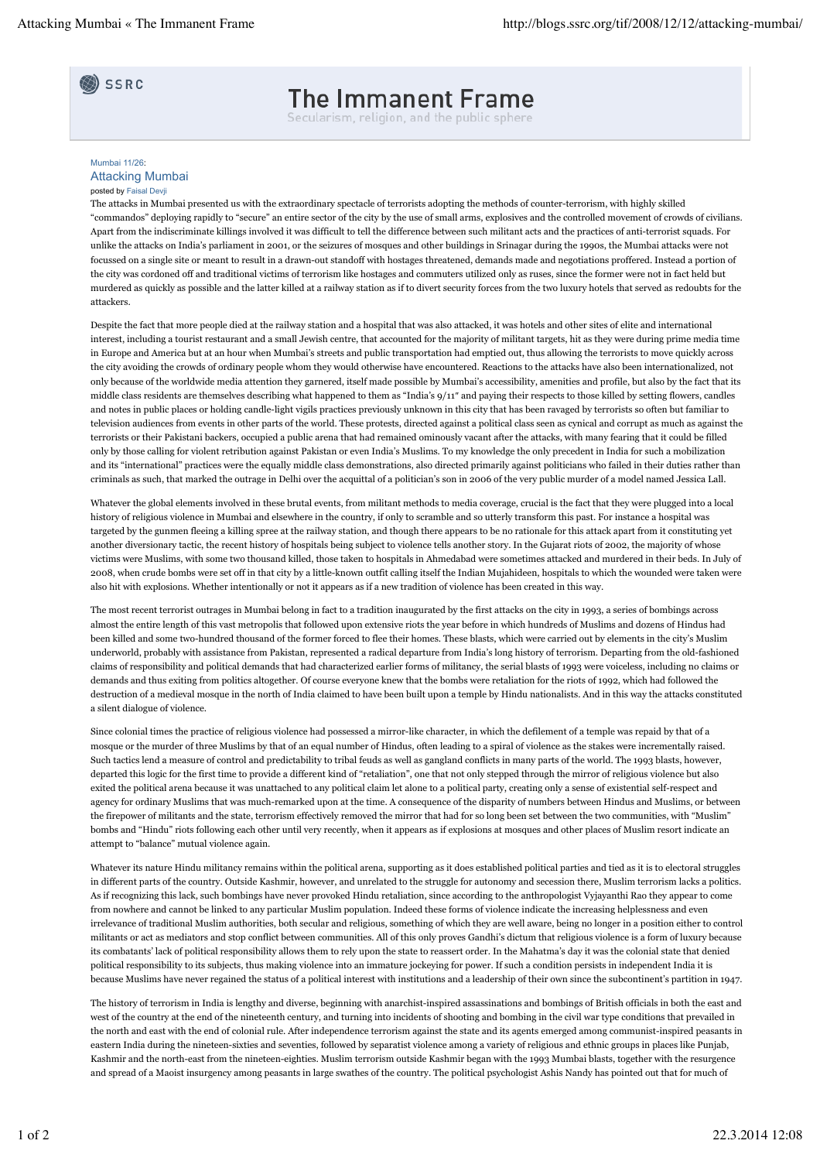SSRC

## **The Immanent Frame**

Secularism, religion, and the public sphere

## Mumbai 11/26: Attacking Mumbai posted by Faisal Devji

The attacks in Mumbai presented us with the extraordinary spectacle of terrorists adopting the methods of counter-terrorism, with highly skilled "commandos" deploying rapidly to "secure" an entire sector of the city by the use of small arms, explosives and the controlled movement of crowds of civilians. Apart from the indiscriminate killings involved it was difficult to tell the difference between such militant acts and the practices of anti-terrorist squads. For unlike the attacks on India's parliament in 2001, or the seizures of mosques and other buildings in Srinagar during the 1990s, the Mumbai attacks were not focussed on a single site or meant to result in a drawn-out standoff with hostages threatened, demands made and negotiations proffered. Instead a portion of the city was cordoned off and traditional victims of terrorism like hostages and commuters utilized only as ruses, since the former were not in fact held but murdered as quickly as possible and the latter killed at a railway station as if to divert security forces from the two luxury hotels that served as redoubts for the attackers.

Despite the fact that more people died at the railway station and a hospital that was also attacked, it was hotels and other sites of elite and international interest, including a tourist restaurant and a small Jewish centre, that accounted for the majority of militant targets, hit as they were during prime media time in Europe and America but at an hour when Mumbai's streets and public transportation had emptied out, thus allowing the terrorists to move quickly across the city avoiding the crowds of ordinary people whom they would otherwise have encountered. Reactions to the attacks have also been internationalized, not only because of the worldwide media attention they garnered, itself made possible by Mumbai's accessibility, amenities and profile, but also by the fact that its middle class residents are themselves describing what happened to them as "India's 9/11″ and paying their respects to those killed by setting flowers, candles and notes in public places or holding candle-light vigils practices previously unknown in this city that has been ravaged by terrorists so often but familiar to television audiences from events in other parts of the world. These protests, directed against a political class seen as cynical and corrupt as much as against the terrorists or their Pakistani backers, occupied a public arena that had remained ominously vacant after the attacks, with many fearing that it could be filled only by those calling for violent retribution against Pakistan or even India's Muslims. To my knowledge the only precedent in India for such a mobilization and its "international" practices were the equally middle class demonstrations, also directed primarily against politicians who failed in their duties rather than criminals as such, that marked the outrage in Delhi over the acquittal of a politician's son in 2006 of the very public murder of a model named Jessica Lall.

Whatever the global elements involved in these brutal events, from militant methods to media coverage, crucial is the fact that they were plugged into a local history of religious violence in Mumbai and elsewhere in the country, if only to scramble and so utterly transform this past. For instance a hospital was targeted by the gunmen fleeing a killing spree at the railway station, and though there appears to be no rationale for this attack apart from it constituting yet another diversionary tactic, the recent history of hospitals being subject to violence tells another story. In the Gujarat riots of 2002, the majority of whose victims were Muslims, with some two thousand killed, those taken to hospitals in Ahmedabad were sometimes attacked and murdered in their beds. In July of 2008, when crude bombs were set off in that city by a little-known outfit calling itself the Indian Mujahideen, hospitals to which the wounded were taken were also hit with explosions. Whether intentionally or not it appears as if a new tradition of violence has been created in this way.

The most recent terrorist outrages in Mumbai belong in fact to a tradition inaugurated by the first attacks on the city in 1993, a series of bombings across almost the entire length of this vast metropolis that followed upon extensive riots the year before in which hundreds of Muslims and dozens of Hindus had been killed and some two-hundred thousand of the former forced to flee their homes. These blasts, which were carried out by elements in the city's Muslim underworld, probably with assistance from Pakistan, represented a radical departure from India's long history of terrorism. Departing from the old-fashioned claims of responsibility and political demands that had characterized earlier forms of militancy, the serial blasts of 1993 were voiceless, including no claims or demands and thus exiting from politics altogether. Of course everyone knew that the bombs were retaliation for the riots of 1992, which had followed the destruction of a medieval mosque in the north of India claimed to have been built upon a temple by Hindu nationalists. And in this way the attacks constituted a silent dialogue of violence.

Since colonial times the practice of religious violence had possessed a mirror-like character, in which the defilement of a temple was repaid by that of a mosque or the murder of three Muslims by that of an equal number of Hindus, often leading to a spiral of violence as the stakes were incrementally raised. Such tactics lend a measure of control and predictability to tribal feuds as well as gangland conflicts in many parts of the world. The 1993 blasts, however, departed this logic for the first time to provide a different kind of "retaliation", one that not only stepped through the mirror of religious violence but also exited the political arena because it was unattached to any political claim let alone to a political party, creating only a sense of existential self-respect and agency for ordinary Muslims that was much-remarked upon at the time. A consequence of the disparity of numbers between Hindus and Muslims, or between the firepower of militants and the state, terrorism effectively removed the mirror that had for so long been set between the two communities, with "Muslim" bombs and "Hindu" riots following each other until very recently, when it appears as if explosions at mosques and other places of Muslim resort indicate an attempt to "balance" mutual violence again.

Whatever its nature Hindu militancy remains within the political arena, supporting as it does established political parties and tied as it is to electoral struggles in different parts of the country. Outside Kashmir, however, and unrelated to the struggle for autonomy and secession there, Muslim terrorism lacks a politics. As if recognizing this lack, such bombings have never provoked Hindu retaliation, since according to the anthropologist Vyjayanthi Rao they appear to come from nowhere and cannot be linked to any particular Muslim population. Indeed these forms of violence indicate the increasing helplessness and even irrelevance of traditional Muslim authorities, both secular and religious, something of which they are well aware, being no longer in a position either to control militants or act as mediators and stop conflict between communities. All of this only proves Gandhi's dictum that religious violence is a form of luxury because its combatants' lack of political responsibility allows them to rely upon the state to reassert order. In the Mahatma's day it was the colonial state that denied political responsibility to its subjects, thus making violence into an immature jockeying for power. If such a condition persists in independent India it is because Muslims have never regained the status of a political interest with institutions and a leadership of their own since the subcontinent's partition in 1947.

The history of terrorism in India is lengthy and diverse, beginning with anarchist-inspired assassinations and bombings of British officials in both the east and west of the country at the end of the nineteenth century, and turning into incidents of shooting and bombing in the civil war type conditions that prevailed in the north and east with the end of colonial rule. After independence terrorism against the state and its agents emerged among communist-inspired peasants in eastern India during the nineteen-sixties and seventies, followed by separatist violence among a variety of religious and ethnic groups in places like Punjab, Kashmir and the north-east from the nineteen-eighties. Muslim terrorism outside Kashmir began with the 1993 Mumbai blasts, together with the resurgence and spread of a Maoist insurgency among peasants in large swathes of the country. The political psychologist Ashis Nandy has pointed out that for much of